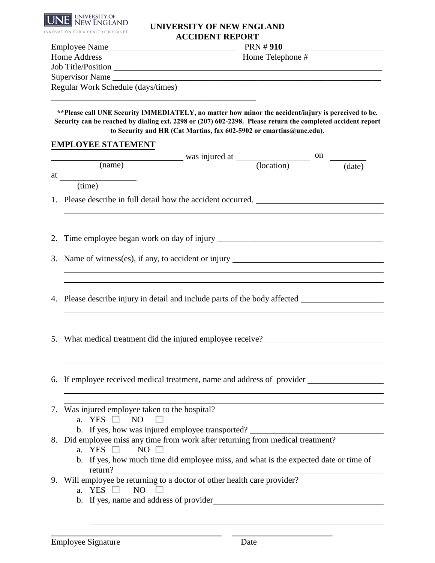

## **UNIVERSITY OF NEW ENGLAND ACCIDENT REPORT**

| <b>Employee Name</b>               | <b>PRN #910</b>  |  |  |  |  |
|------------------------------------|------------------|--|--|--|--|
| Home Address                       | Home Telephone # |  |  |  |  |
| <b>Job Title/Position</b>          |                  |  |  |  |  |
| Supervisor Name                    |                  |  |  |  |  |
| Regular Work Schedule (days/times) |                  |  |  |  |  |
|                                    |                  |  |  |  |  |

**\*\*Please call UNE Security IMMEDIATELY, no matter how minor the accident/injury is perceived to be. Security can be reached by dialing ext. 2298 or (207) 602-2298. Please return the completed accident report to Security and HR (Cat Martins, fax 602-5902 or cmartins@une.edu).**

## **EMPLOYEE STATEMENT**

|    | $\frac{1}{2}$ was injured at $\frac{1}{2}$ on<br>(name)<br>(date)                                          |  |  |  |  |  |
|----|------------------------------------------------------------------------------------------------------------|--|--|--|--|--|
| at |                                                                                                            |  |  |  |  |  |
|    | $\overline{\text{(time)}}$                                                                                 |  |  |  |  |  |
|    | 1. Please describe in full detail how the accident occurred.                                               |  |  |  |  |  |
|    |                                                                                                            |  |  |  |  |  |
|    |                                                                                                            |  |  |  |  |  |
|    |                                                                                                            |  |  |  |  |  |
|    |                                                                                                            |  |  |  |  |  |
|    | 3. Name of witness(es), if any, to accident or injury ___________________________                          |  |  |  |  |  |
|    |                                                                                                            |  |  |  |  |  |
|    |                                                                                                            |  |  |  |  |  |
|    | 4. Please describe injury in detail and include parts of the body affected                                 |  |  |  |  |  |
|    |                                                                                                            |  |  |  |  |  |
|    |                                                                                                            |  |  |  |  |  |
|    | 5. What medical treatment did the injured employee receive?                                                |  |  |  |  |  |
|    |                                                                                                            |  |  |  |  |  |
|    |                                                                                                            |  |  |  |  |  |
|    |                                                                                                            |  |  |  |  |  |
|    | 6. If employee received medical treatment, name and address of provider                                    |  |  |  |  |  |
|    |                                                                                                            |  |  |  |  |  |
|    | 7. Was injured employee taken to the hospital?                                                             |  |  |  |  |  |
|    | a. YES $\Box$ NO                                                                                           |  |  |  |  |  |
|    | b. If yes, how was injured employee transported?                                                           |  |  |  |  |  |
|    | 8. Did employee miss any time from work after returning from medical treatment?<br>a. YES $\Box$ NO $\Box$ |  |  |  |  |  |
|    | b. If yes, how much time did employee miss, and what is the expected date or time of                       |  |  |  |  |  |
|    | return?                                                                                                    |  |  |  |  |  |
|    | 9. Will employee be returning to a doctor of other health care provider?                                   |  |  |  |  |  |
|    | a. YES $\Box$<br>NO                                                                                        |  |  |  |  |  |
|    | b. If yes, name and address of provider                                                                    |  |  |  |  |  |
|    |                                                                                                            |  |  |  |  |  |